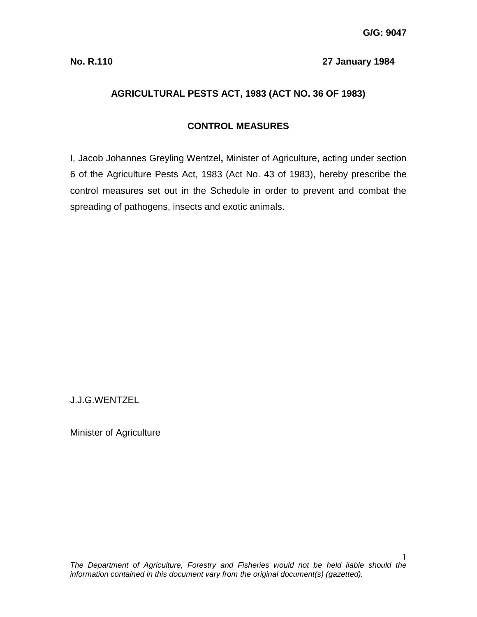#### **No. R.110 27 January 1984**

# **AGRICULTURAL PESTS ACT, 1983 (ACT NO. 36 OF 1983)**

# **CONTROL MEASURES**

I, Jacob Johannes Greyling Wentzel**,** Minister of Agriculture, acting under section 6 of the Agriculture Pests Act, 1983 (Act No. 43 of 1983), hereby prescribe the control measures set out in the Schedule in order to prevent and combat the spreading of pathogens, insects and exotic animals.

J.J.G.WENTZEL

Minister of Agriculture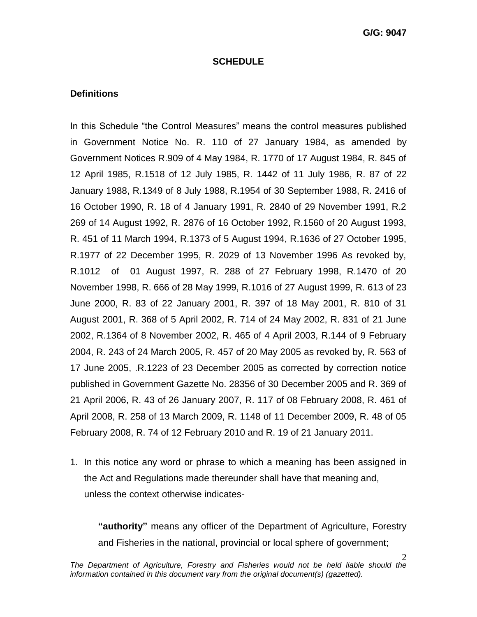#### **SCHEDULE**

#### **Definitions**

In this Schedule "the Control Measures" means the control measures published in Government Notice No. R. 110 of 27 January 1984, as amended by Government Notices R.909 of 4 May 1984, R. 1770 of 17 August 1984, R. 845 of 12 April 1985, R.1518 of 12 July 1985, R. 1442 of 11 July 1986, R. 87 of 22 January 1988, R.1349 of 8 July 1988, R.1954 of 30 September 1988, R. 2416 of 16 October 1990, R. 18 of 4 January 1991, R. 2840 of 29 November 1991, R.2 269 of 14 August 1992, R. 2876 of 16 October 1992, R.1560 of 20 August 1993, R. 451 of 11 March 1994, R.1373 of 5 August 1994, R.1636 of 27 October 1995, R.1977 of 22 December 1995, R. 2029 of 13 November 1996 As revoked by, R.1012 of 01 August 1997, R. 288 of 27 February 1998, R.1470 of 20 November 1998, R. 666 of 28 May 1999, R.1016 of 27 August 1999, R. 613 of 23 June 2000, R. 83 of 22 January 2001, R. 397 of 18 May 2001, R. 810 of 31 August 2001, R. 368 of 5 April 2002, R. 714 of 24 May 2002, R. 831 of 21 June 2002, R.1364 of 8 November 2002, R. 465 of 4 April 2003, R.144 of 9 February 2004, R. 243 of 24 March 2005, R. 457 of 20 May 2005 as revoked by, R. 563 of 17 June 2005, .R.1223 of 23 December 2005 as corrected by correction notice published in Government Gazette No. 28356 of 30 December 2005 and R. 369 of 21 April 2006, R. 43 of 26 January 2007, R. 117 of 08 February 2008, R. 461 of April 2008, R. 258 of 13 March 2009, R. 1148 of 11 December 2009, R. 48 of 05 February 2008, R. 74 of 12 February 2010 and R. 19 of 21 January 2011.

1. In this notice any word or phrase to which a meaning has been assigned in the Act and Regulations made thereunder shall have that meaning and, unless the context otherwise indicates-

**"authority"** means any officer of the Department of Agriculture, Forestry and Fisheries in the national, provincial or local sphere of government;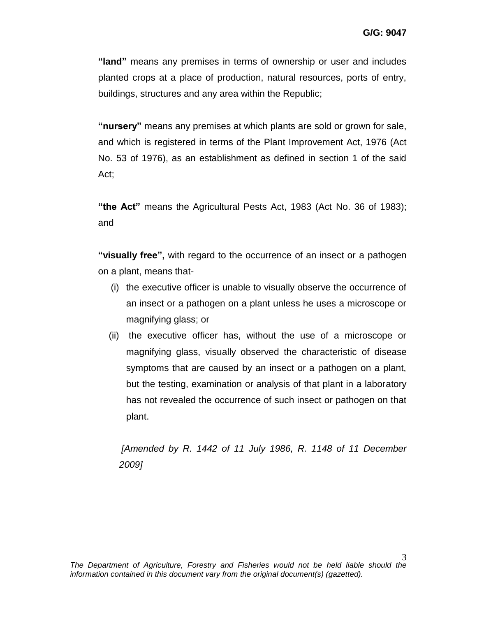**"land"** means any premises in terms of ownership or user and includes planted crops at a place of production, natural resources, ports of entry, buildings, structures and any area within the Republic;

**"nursery"** means any premises at which plants are sold or grown for sale, and which is registered in terms of the Plant Improvement Act, 1976 (Act No. 53 of 1976), as an establishment as defined in section 1 of the said Act;

**"the Act"** means the Agricultural Pests Act, 1983 (Act No. 36 of 1983); and

**"visually free",** with regard to the occurrence of an insect or a pathogen on a plant, means that-

- (i) the executive officer is unable to visually observe the occurrence of an insect or a pathogen on a plant unless he uses a microscope or magnifying glass; or
- (ii) the executive officer has, without the use of a microscope or magnifying glass, visually observed the characteristic of disease symptoms that are caused by an insect or a pathogen on a plant, but the testing, examination or analysis of that plant in a laboratory has not revealed the occurrence of such insect or pathogen on that plant.

*[Amended by R. 1442 of 11 July 1986, R. 1148 of 11 December 2009]*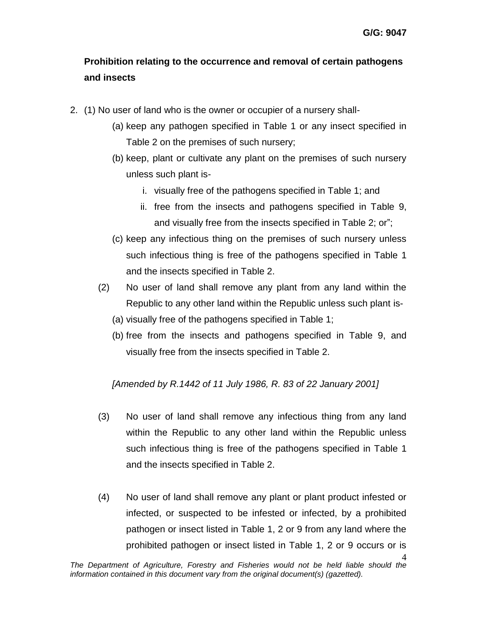# **Prohibition relating to the occurrence and removal of certain pathogens and insects**

- 2. (1) No user of land who is the owner or occupier of a nursery shall-
	- (a) keep any pathogen specified in Table 1 or any insect specified in Table 2 on the premises of such nursery;
	- (b) keep, plant or cultivate any plant on the premises of such nursery unless such plant is
		- i. visually free of the pathogens specified in Table 1; and
		- ii. free from the insects and pathogens specified in Table 9, and visually free from the insects specified in Table 2; or";
	- (c) keep any infectious thing on the premises of such nursery unless such infectious thing is free of the pathogens specified in Table 1 and the insects specified in Table 2.
	- (2) No user of land shall remove any plant from any land within the Republic to any other land within the Republic unless such plant is-
		- (a) visually free of the pathogens specified in Table 1;
		- (b) free from the insects and pathogens specified in Table 9, and visually free from the insects specified in Table 2.

*[Amended by R.1442 of 11 July 1986, R. 83 of 22 January 2001]*

- (3) No user of land shall remove any infectious thing from any land within the Republic to any other land within the Republic unless such infectious thing is free of the pathogens specified in Table 1 and the insects specified in Table 2.
- (4) No user of land shall remove any plant or plant product infested or infected, or suspected to be infested or infected, by a prohibited pathogen or insect listed in Table 1, 2 or 9 from any land where the prohibited pathogen or insect listed in Table 1, 2 or 9 occurs or is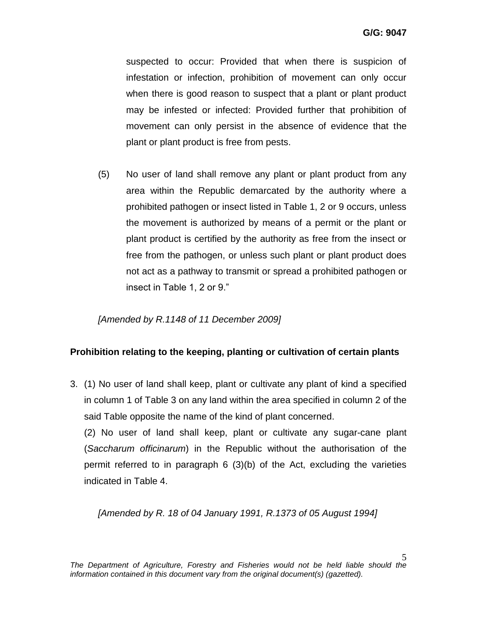suspected to occur: Provided that when there is suspicion of infestation or infection, prohibition of movement can only occur when there is good reason to suspect that a plant or plant product may be infested or infected: Provided further that prohibition of movement can only persist in the absence of evidence that the plant or plant product is free from pests.

(5) No user of land shall remove any plant or plant product from any area within the Republic demarcated by the authority where a prohibited pathogen or insect listed in Table 1, 2 or 9 occurs, unless the movement is authorized by means of a permit or the plant or plant product is certified by the authority as free from the insect or free from the pathogen, or unless such plant or plant product does not act as a pathway to transmit or spread a prohibited pathogen or insect in Table 1, 2 or 9."

*[Amended by R.1148 of 11 December 2009]* 

# **Prohibition relating to the keeping, planting or cultivation of certain plants**

3. (1) No user of land shall keep, plant or cultivate any plant of kind a specified in column 1 of Table 3 on any land within the area specified in column 2 of the said Table opposite the name of the kind of plant concerned.

(2) No user of land shall keep, plant or cultivate any sugar-cane plant (*Saccharum officinarum*) in the Republic without the authorisation of the permit referred to in paragraph 6 (3)(b) of the Act, excluding the varieties indicated in Table 4.

*[Amended by R. 18 of 04 January 1991, R.1373 of 05 August 1994]*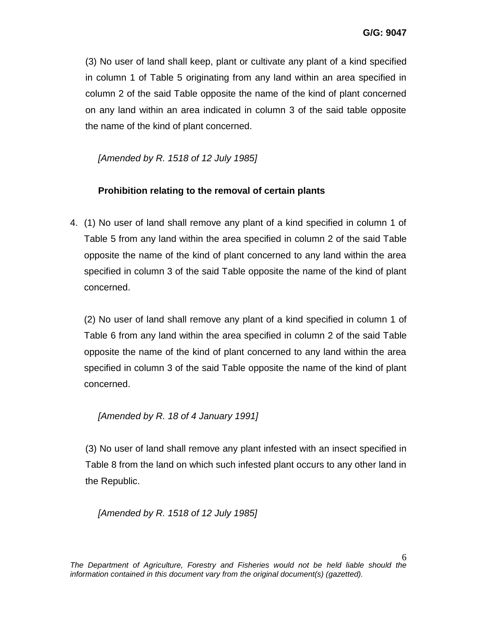(3) No user of land shall keep, plant or cultivate any plant of a kind specified in column 1 of Table 5 originating from any land within an area specified in column 2 of the said Table opposite the name of the kind of plant concerned on any land within an area indicated in column 3 of the said table opposite the name of the kind of plant concerned.

*[Amended by R. 1518 of 12 July 1985]*

# **Prohibition relating to the removal of certain plants**

4. (1) No user of land shall remove any plant of a kind specified in column 1 of Table 5 from any land within the area specified in column 2 of the said Table opposite the name of the kind of plant concerned to any land within the area specified in column 3 of the said Table opposite the name of the kind of plant concerned.

(2) No user of land shall remove any plant of a kind specified in column 1 of Table 6 from any land within the area specified in column 2 of the said Table opposite the name of the kind of plant concerned to any land within the area specified in column 3 of the said Table opposite the name of the kind of plant concerned.

# *[Amended by R. 18 of 4 January 1991]*

(3) No user of land shall remove any plant infested with an insect specified in Table 8 from the land on which such infested plant occurs to any other land in the Republic.

*[Amended by R. 1518 of 12 July 1985]*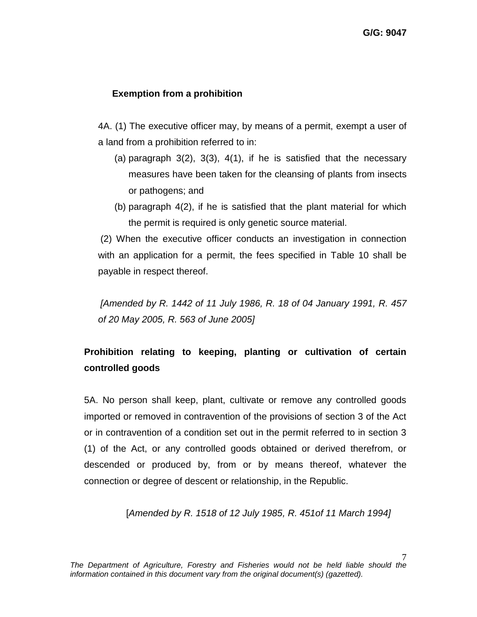# **Exemption from a prohibition**

4A. (1) The executive officer may, by means of a permit, exempt a user of a land from a prohibition referred to in:

- (a) paragraph  $3(2)$ ,  $3(3)$ ,  $4(1)$ , if he is satisfied that the necessary measures have been taken for the cleansing of plants from insects or pathogens; and
- (b) paragraph 4(2), if he is satisfied that the plant material for which the permit is required is only genetic source material.

(2) When the executive officer conducts an investigation in connection with an application for a permit, the fees specified in Table 10 shall be payable in respect thereof.

*[Amended by R. 1442 of 11 July 1986, R. 18 of 04 January 1991, R. 457 of 20 May 2005, R. 563 of June 2005]*

# **Prohibition relating to keeping, planting or cultivation of certain controlled goods**

5A. No person shall keep, plant, cultivate or remove any controlled goods imported or removed in contravention of the provisions of section 3 of the Act or in contravention of a condition set out in the permit referred to in section 3 (1) of the Act, or any controlled goods obtained or derived therefrom, or descended or produced by, from or by means thereof, whatever the connection or degree of descent or relationship, in the Republic.

[*Amended by R. 1518 of 12 July 1985, R. 451of 11 March 1994]*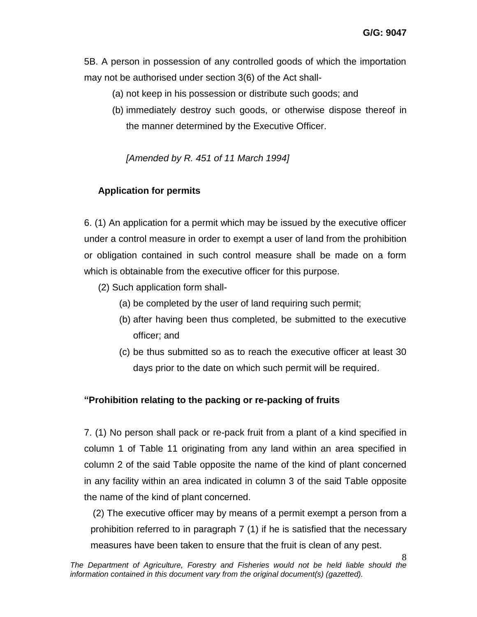5B. A person in possession of any controlled goods of which the importation may not be authorised under section 3(6) of the Act shall-

- (a) not keep in his possession or distribute such goods; and
- (b) immediately destroy such goods, or otherwise dispose thereof in the manner determined by the Executive Officer.

*[Amended by R. 451 of 11 March 1994]*

# **Application for permits**

6. (1) An application for a permit which may be issued by the executive officer under a control measure in order to exempt a user of land from the prohibition or obligation contained in such control measure shall be made on a form which is obtainable from the executive officer for this purpose.

- (2) Such application form shall-
	- (a) be completed by the user of land requiring such permit;
	- (b) after having been thus completed, be submitted to the executive officer; and
	- (c) be thus submitted so as to reach the executive officer at least 30 days prior to the date on which such permit will be required.

# **"Prohibition relating to the packing or re-packing of fruits**

7. (1) No person shall pack or re-pack fruit from a plant of a kind specified in column 1 of Table 11 originating from any land within an area specified in column 2 of the said Table opposite the name of the kind of plant concerned in any facility within an area indicated in column 3 of the said Table opposite the name of the kind of plant concerned.

(2) The executive officer may by means of a permit exempt a person from a prohibition referred to in paragraph 7 (1) if he is satisfied that the necessary measures have been taken to ensure that the fruit is clean of any pest.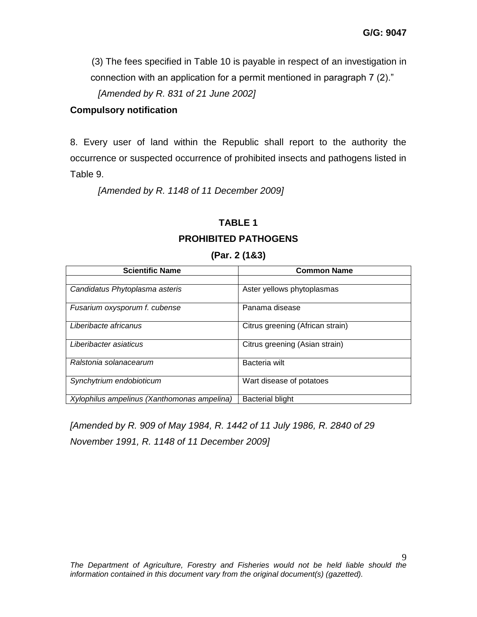(3) The fees specified in Table 10 is payable in respect of an investigation in connection with an application for a permit mentioned in paragraph 7 (2)."

*[Amended by R. 831 of 21 June 2002]*

## **Compulsory notification**

8. Every user of land within the Republic shall report to the authority the occurrence or suspected occurrence of prohibited insects and pathogens listed in Table 9.

*[Amended by R. 1148 of 11 December 2009]*

# **TABLE 1 PROHIBITED PATHOGENS**

#### **(Par. 2 (1&3)**

| <b>Scientific Name</b>                      | <b>Common Name</b>               |
|---------------------------------------------|----------------------------------|
|                                             |                                  |
| Candidatus Phytoplasma asteris              | Aster yellows phytoplasmas       |
| Fusarium oxysporum f. cubense               | Panama disease                   |
| Liberibacte africanus                       | Citrus greening (African strain) |
| Liberibacter asiaticus                      | Citrus greening (Asian strain)   |
| Ralstonia solanacearum                      | Bacteria wilt                    |
| Synchytrium endobioticum                    | Wart disease of potatoes         |
| Xylophilus ampelinus (Xanthomonas ampelina) | <b>Bacterial blight</b>          |

*[Amended by R. 909 of May 1984, R. 1442 of 11 July 1986, R. 2840 of 29 November 1991, R. 1148 of 11 December 2009]*

 $\mathbf Q$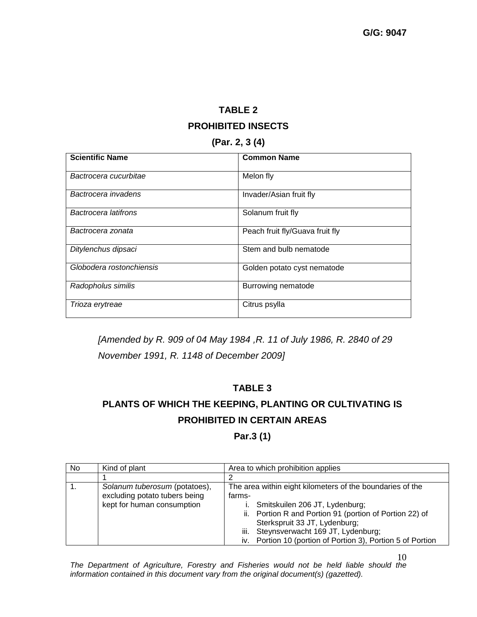# **TABLE 2 PROHIBITED INSECTS**

#### **(Par. 2, 3 (4)**

| <b>Scientific Name</b>   | <b>Common Name</b>              |
|--------------------------|---------------------------------|
| Bactrocera cucurbitae    | Melon fly                       |
| Bactrocera invadens      | Invader/Asian fruit fly         |
| Bactrocera latifrons     | Solanum fruit fly               |
| Bactrocera zonata        | Peach fruit fly/Guava fruit fly |
| Ditylenchus dipsaci      | Stem and bulb nematode          |
| Globodera rostonchiensis | Golden potato cyst nematode     |
| Radopholus similis       | Burrowing nematode              |
| Trioza erytreae          | Citrus psylla                   |

*[Amended by R. 909 of 04 May 1984 ,R. 11 of July 1986, R. 2840 of 29 November 1991, R. 1148 of December 2009]*

### **TABLE 3**

# **PLANTS OF WHICH THE KEEPING, PLANTING OR CULTIVATING IS PROHIBITED IN CERTAIN AREAS**

# **Par.3 (1)**

| No. | Kind of plant                                                                                | Area to which prohibition applies                                                                                                                                                                                                                                                                             |  |  |
|-----|----------------------------------------------------------------------------------------------|---------------------------------------------------------------------------------------------------------------------------------------------------------------------------------------------------------------------------------------------------------------------------------------------------------------|--|--|
|     |                                                                                              |                                                                                                                                                                                                                                                                                                               |  |  |
|     | Solanum tuberosum (potatoes),<br>excluding potato tubers being<br>kept for human consumption | The area within eight kilometers of the boundaries of the<br>farms-<br>i. Smitskuilen 206 JT, Lydenburg;<br>ii. Portion R and Portion 91 (portion of Portion 22) of<br>Sterkspruit 33 JT, Lydenburg;<br>iii. Steynsverwacht 169 JT, Lydenburg;<br>iv. Portion 10 (portion of Portion 3), Portion 5 of Portion |  |  |

10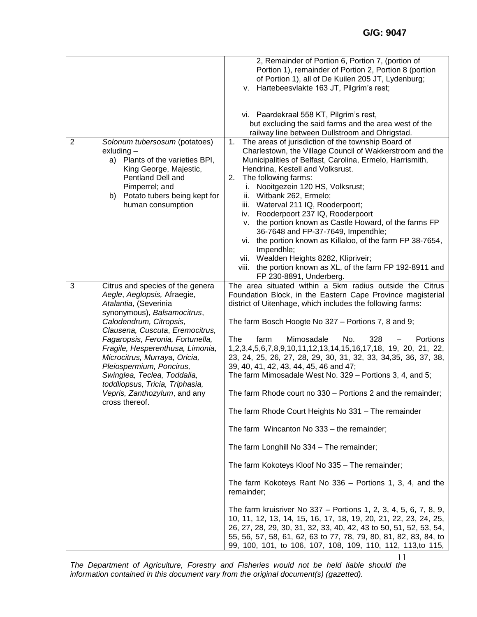|                |                                                                                                                                                                                                                                                                                                                                                                                                                                                | 2, Remainder of Portion 6, Portion 7, (portion of<br>Portion 1), remainder of Portion 2, Portion 8 (portion<br>of Portion 1), all of De Kuilen 205 JT, Lydenburg;<br>v. Hartebeesvlakte 163 JT, Pilgrim's rest;<br>vi. Paardekraal 558 KT, Pilgrim's rest,                                                                                                                                                                                                                                                                                                                                                                                                                                                                                                                                                                                                                                                                                                                                                                                                                                                                                                                                                                                                  |  |  |  |
|----------------|------------------------------------------------------------------------------------------------------------------------------------------------------------------------------------------------------------------------------------------------------------------------------------------------------------------------------------------------------------------------------------------------------------------------------------------------|-------------------------------------------------------------------------------------------------------------------------------------------------------------------------------------------------------------------------------------------------------------------------------------------------------------------------------------------------------------------------------------------------------------------------------------------------------------------------------------------------------------------------------------------------------------------------------------------------------------------------------------------------------------------------------------------------------------------------------------------------------------------------------------------------------------------------------------------------------------------------------------------------------------------------------------------------------------------------------------------------------------------------------------------------------------------------------------------------------------------------------------------------------------------------------------------------------------------------------------------------------------|--|--|--|
|                |                                                                                                                                                                                                                                                                                                                                                                                                                                                | but excluding the said farms and the area west of the<br>railway line between Dullstroom and Ohrigstad.                                                                                                                                                                                                                                                                                                                                                                                                                                                                                                                                                                                                                                                                                                                                                                                                                                                                                                                                                                                                                                                                                                                                                     |  |  |  |
| $\overline{2}$ | Solonum tubersosum (potatoes)<br>$ext{P}$<br>Plants of the varieties BPI,<br>a)<br>King George, Majestic,<br>Pentland Dell and<br>Pimperrel; and<br>b) Potato tubers being kept for<br>human consumption                                                                                                                                                                                                                                       | The areas of jurisdiction of the township Board of<br>1.<br>Charlestown, the Village Council of Wakkerstroom and the<br>Municipalities of Belfast, Carolina, Ermelo, Harrismith,<br>Hendrina, Kestell and Volksrust.<br>2.<br>The following farms:<br>Nooitgezein 120 HS, Volksrust;<br>İ.<br>ii. Witbank 262, Ermelo;<br>iii. Waterval 211 IQ, Rooderpoort;<br>iv. Rooderpoort 237 IQ, Rooderpoort<br>v. the portion known as Castle Howard, of the farms FP<br>36-7648 and FP-37-7649, Impendhle;<br>vi. the portion known as Killaloo, of the farm FP 38-7654,<br>Impendhle;<br>vii. Wealden Heights 8282, Klipriveir;<br>viii. the portion known as XL, of the farm FP 192-8911 and<br>FP 230-8891, Underberg.                                                                                                                                                                                                                                                                                                                                                                                                                                                                                                                                          |  |  |  |
| 3              | Citrus and species of the genera<br>Aegle, Aeglopsis, Afraegie,<br>Atalantia, (Severinia<br>synonymous), Balsamocitrus,<br>Calodendrum, Citropsis,<br>Clausena, Cuscuta, Eremocitrus,<br>Fagaropsis, Feronia, Fortunella,<br>Fragile, Hesperenthusa, Limonia,<br>Microcitrus, Murraya, Oricia,<br>Pleiospermium, Poncirus,<br>Swinglea, Teclea, Toddalia,<br>toddliopsus, Tricia, Triphasia,<br>Vepris, Zanthozylum, and any<br>cross thereof. | The area situated within a 5km radius outside the Citrus<br>Foundation Block, in the Eastern Cape Province magisterial<br>district of Uitenhage, which includes the following farms:<br>The farm Bosch Hoogte No 327 - Portions 7, 8 and 9;<br>The<br>Mimosadale<br>328<br>Portions<br>farm<br>No.<br>1, 2, 3, 4, 5, 6, 7, 8, 9, 10, 11, 12, 13, 14, 15, 16, 17, 18, 19, 20, 21, 22,<br>23, 24, 25, 26, 27, 28, 29, 30, 31, 32, 33, 34, 35, 36, 37, 38,<br>39, 40, 41, 42, 43, 44, 45, 46 and 47;<br>The farm Mimosadale West No. 329 - Portions 3, 4, and 5;<br>The farm Rhode court no 330 – Portions 2 and the remainder;<br>The farm Rhode Court Heights No 331 - The remainder<br>The farm Wincanton No 333 - the remainder;<br>The farm Longhill No 334 - The remainder;<br>The farm Kokoteys Kloof No 335 - The remainder;<br>The farm Kokoteys Rant No 336 - Portions 1, 3, 4, and the<br>remainder;<br>The farm kruisriver No 337 - Portions 1, 2, 3, 4, 5, 6, 7, 8, 9,<br>10, 11, 12, 13, 14, 15, 16, 17, 18, 19, 20, 21, 22, 23, 24, 25,<br>26, 27, 28, 29, 30, 31, 32, 33, 40, 42, 43 to 50, 51, 52, 53, 54,<br>55, 56, 57, 58, 61, 62, 63 to 77, 78, 79, 80, 81, 82, 83, 84, to<br>99, 100, 101, to 106, 107, 108, 109, 110, 112, 113, to 115, |  |  |  |

*The Department of Agriculture, Forestry and Fisheries would not be held liable should the information contained in this document vary from the original document(s) (gazetted).*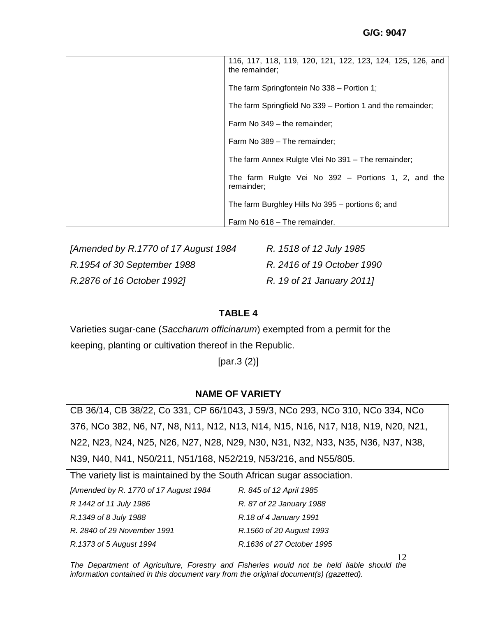|  | 116, 117, 118, 119, 120, 121, 122, 123, 124, 125, 126, and<br>the remainder; |  |  |  |
|--|------------------------------------------------------------------------------|--|--|--|
|  | The farm Springfontein No 338 - Portion 1;                                   |  |  |  |
|  | The farm Springfield No 339 - Portion 1 and the remainder;                   |  |  |  |
|  | Farm No 349 - the remainder;                                                 |  |  |  |
|  | Farm No 389 - The remainder;                                                 |  |  |  |
|  | The farm Annex Rulgte Vlei No 391 - The remainder;                           |  |  |  |
|  | The farm Rulgte Vei No 392 - Portions 1, 2, and the<br>remainder;            |  |  |  |
|  | The farm Burghley Hills No 395 – portions 6; and                             |  |  |  |
|  | Farm No 618 - The remainder.                                                 |  |  |  |

*[Amended by R.1770 of 17 August 1984 R. 1518 of 12 July 1985 R.1954 of 30 September 1988 R. 2416 of 19 October 1990 R.2876 of 16 October 1992] R. 19 of 21 January 2011]*

# **TABLE 4**

Varieties sugar-cane (*Saccharum officinarum*) exempted from a permit for the keeping, planting or cultivation thereof in the Republic.

[par.3 (2)]

### **NAME OF VARIETY**

CB 36/14, CB 38/22, Co 331, CP 66/1043, J 59/3, NCo 293, NCo 310, NCo 334, NCo 376, NCo 382, N6, N7, N8, N11, N12, N13, N14, N15, N16, N17, N18, N19, N20, N21, N22, N23, N24, N25, N26, N27, N28, N29, N30, N31, N32, N33, N35, N36, N37, N38, N39, N40, N41, N50/211, N51/168, N52/219, N53/216, and N55/805.

The variety list is maintained by the South African sugar association.

| [Amended by R. 1770 of 17 August 1984] | R. 845 of 12 April 1985   |
|----------------------------------------|---------------------------|
| R 1442 of 11 July 1986                 | R. 87 of 22 January 1988  |
| R.1349 of 8 July 1988                  | R.18 of 4 January 1991    |
| R. 2840 of 29 November 1991            | R.1560 of 20 August 1993  |
| R.1373 of 5 August 1994                | R.1636 of 27 October 1995 |

*The Department of Agriculture, Forestry and Fisheries would not be held liable should the information contained in this document vary from the original document(s) (gazetted).*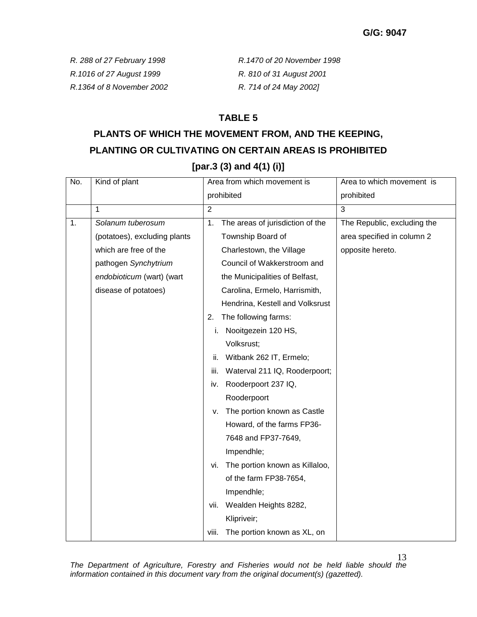*R.1016 of 27 August 1999 R. 810 of 31 August 2001 R.1364 of 8 November 2002 R. 714 of 24 May 2002]*

*R. 288 of 27 February 1998 R.1470 of 20 November 1998* 

# **TABLE 5**

# **PLANTS OF WHICH THE MOVEMENT FROM, AND THE KEEPING, PLANTING OR CULTIVATING ON CERTAIN AREAS IS PROHIBITED [par.3 (3) and 4(1) (i)]**

| No. | Kind of plant                | Area from which movement is<br>Area to which movement is              |
|-----|------------------------------|-----------------------------------------------------------------------|
|     |                              | prohibited<br>prohibited                                              |
|     | 1                            | $\overline{3}$<br>$\overline{2}$                                      |
| 1.  | Solanum tuberosum            | The areas of jurisdiction of the<br>1.<br>The Republic, excluding the |
|     | (potatoes), excluding plants | Township Board of<br>area specified in column 2                       |
|     | which are free of the        | Charlestown, the Village<br>opposite hereto.                          |
|     | pathogen Synchytrium         | Council of Wakkerstroom and                                           |
|     | endobioticum (wart) (wart    | the Municipalities of Belfast,                                        |
|     | disease of potatoes)         | Carolina, Ermelo, Harrismith,                                         |
|     |                              | Hendrina, Kestell and Volksrust                                       |
|     |                              | The following farms:<br>2.                                            |
|     |                              | Nooitgezein 120 HS,<br>i.                                             |
|     |                              | Volksrust;                                                            |
|     |                              | Witbank 262 IT, Ermelo;<br>ii.                                        |
|     |                              | Waterval 211 IQ, Rooderpoort;<br>iii.                                 |
|     |                              | Rooderpoort 237 IQ,<br>iv.                                            |
|     |                              | Rooderpoort                                                           |
|     |                              | The portion known as Castle<br>v.                                     |
|     |                              | Howard, of the farms FP36-                                            |
|     |                              | 7648 and FP37-7649,                                                   |
|     |                              | Impendhle;                                                            |
|     |                              | The portion known as Killaloo,<br>Vİ.                                 |
|     |                              | of the farm FP38-7654,                                                |
|     |                              | Impendhle;                                                            |
|     |                              | vii. Wealden Heights 8282,                                            |
|     |                              | Klipriveir;                                                           |
|     |                              | The portion known as XL, on<br>viii.                                  |

*The Department of Agriculture, Forestry and Fisheries would not be held liable should the information contained in this document vary from the original document(s) (gazetted).*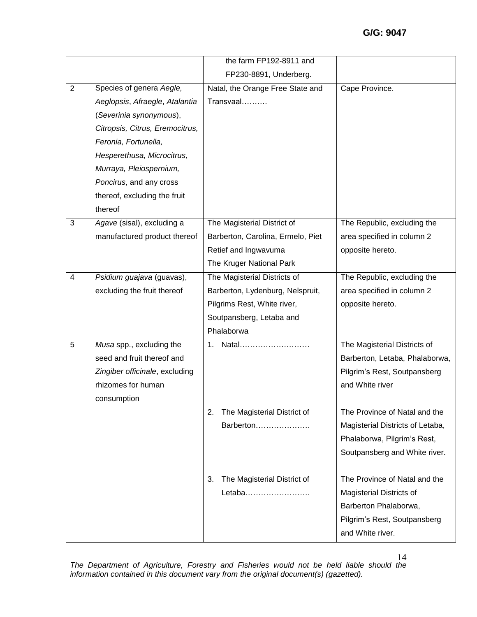|                |                                 | the farm FP192-8911 and           |                                                                                          |
|----------------|---------------------------------|-----------------------------------|------------------------------------------------------------------------------------------|
|                |                                 | FP230-8891, Underberg.            |                                                                                          |
| $\overline{2}$ | Species of genera Aegle,        | Natal, the Orange Free State and  | Cape Province.                                                                           |
|                | Aeglopsis, Afraegle, Atalantia  | Transvaal                         |                                                                                          |
|                | (Severinia synonymous),         |                                   |                                                                                          |
|                | Citropsis, Citrus, Eremocitrus, |                                   |                                                                                          |
|                | Feronia, Fortunella,            |                                   |                                                                                          |
|                | Hesperethusa, Microcitrus,      |                                   |                                                                                          |
|                | Murraya, Pleiospernium,         |                                   |                                                                                          |
|                | Poncirus, and any cross         |                                   |                                                                                          |
|                | thereof, excluding the fruit    |                                   |                                                                                          |
|                | thereof                         |                                   |                                                                                          |
| 3              | Agave (sisal), excluding a      | The Magisterial District of       | The Republic, excluding the                                                              |
|                | manufactured product thereof    | Barberton, Carolina, Ermelo, Piet | area specified in column 2                                                               |
|                |                                 | Retief and Ingwavuma              | opposite hereto.                                                                         |
|                |                                 | The Kruger National Park          |                                                                                          |
| 4              | Psidium guajava (guavas),       | The Magisterial Districts of      | The Republic, excluding the                                                              |
|                | excluding the fruit thereof     | Barberton, Lydenburg, Nelspruit,  | area specified in column 2                                                               |
|                |                                 | Pilgrims Rest, White river,       | opposite hereto.                                                                         |
|                |                                 | Soutpansberg, Letaba and          |                                                                                          |
|                |                                 | Phalaborwa                        |                                                                                          |
| 5              | Musa spp., excluding the        | 1.<br>Natal                       | The Magisterial Districts of                                                             |
|                | seed and fruit thereof and      |                                   | Barberton, Letaba, Phalaborwa,                                                           |
|                | Zingiber officinale, excluding  |                                   | Pilgrim's Rest, Soutpansberg                                                             |
|                | rhizomes for human              |                                   | and White river                                                                          |
|                | consumption                     |                                   |                                                                                          |
|                |                                 | The Magisterial District of<br>2. | The Province of Natal and the                                                            |
|                |                                 | Barberton                         | Magisterial Districts of Letaba,                                                         |
|                |                                 |                                   | Phalaborwa, Pilgrim's Rest,                                                              |
|                |                                 |                                   | Soutpansberg and White river.                                                            |
|                |                                 | 3.                                | The Province of Natal and the                                                            |
|                |                                 | Letaba                            |                                                                                          |
|                |                                 |                                   |                                                                                          |
|                |                                 |                                   |                                                                                          |
|                |                                 |                                   | and White river.                                                                         |
|                |                                 | The Magisterial District of       | <b>Magisterial Districts of</b><br>Barberton Phalaborwa,<br>Pilgrim's Rest, Soutpansberg |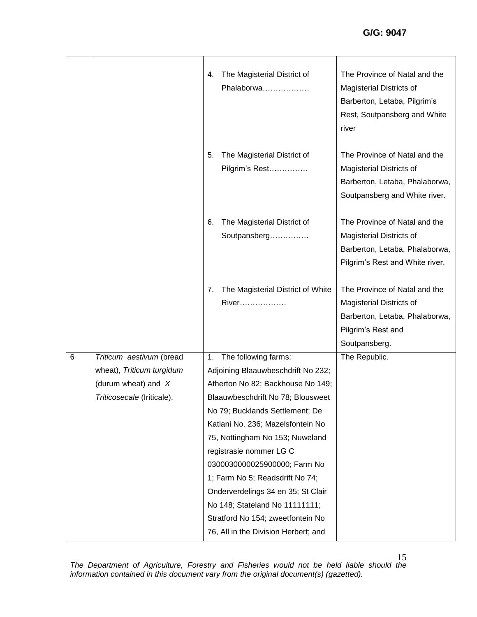|                 |                            | The Magisterial District of<br>4.<br>Phalaborwa                       | The Province of Natal and the<br><b>Magisterial Districts of</b><br>Barberton, Letaba, Pilgrim's<br>Rest, Soutpansberg and White<br>river |
|-----------------|----------------------------|-----------------------------------------------------------------------|-------------------------------------------------------------------------------------------------------------------------------------------|
|                 |                            | 5.<br>The Magisterial District of<br>Pilgrim's Rest                   | The Province of Natal and the<br><b>Magisterial Districts of</b><br>Barberton, Letaba, Phalaborwa,<br>Soutpansberg and White river.       |
|                 |                            | The Magisterial District of<br>6.<br>Soutpansberg                     | The Province of Natal and the<br><b>Magisterial Districts of</b><br>Barberton, Letaba, Phalaborwa,<br>Pilgrim's Rest and White river.     |
|                 |                            | The Magisterial District of White<br>7.<br>River                      | The Province of Natal and the<br><b>Magisterial Districts of</b><br>Barberton, Letaba, Phalaborwa,<br>Pilgrim's Rest and<br>Soutpansberg. |
| $6\phantom{1}6$ | Triticum aestivum (bread   | The following farms:<br>1.                                            | The Republic.                                                                                                                             |
|                 | wheat), Triticum turgidum  | Adjoining Blaauwbeschdrift No 232;                                    |                                                                                                                                           |
|                 | (durum wheat) and $X$      | Atherton No 82; Backhouse No 149;                                     |                                                                                                                                           |
|                 | Triticosecale (Iriticale). | Blaauwbeschdrift No 78; Blousweet                                     |                                                                                                                                           |
|                 |                            | No 79; Bucklands Settlement; De                                       |                                                                                                                                           |
|                 |                            | Katlani No. 236; Mazelsfontein No                                     |                                                                                                                                           |
|                 |                            | 75, Nottingham No 153; Nuweland                                       |                                                                                                                                           |
|                 |                            | registrasie nommer LG C                                               |                                                                                                                                           |
|                 |                            | 0300030000025900000; Farm No                                          |                                                                                                                                           |
|                 |                            | 1; Farm No 5; Readsdrift No 74;<br>Onderverdelings 34 en 35; St Clair |                                                                                                                                           |
|                 |                            | No 148; Stateland No 11111111;                                        |                                                                                                                                           |
|                 |                            | Stratford No 154; zweetfontein No                                     |                                                                                                                                           |
|                 |                            | 76, All in the Division Herbert; and                                  |                                                                                                                                           |
|                 |                            |                                                                       |                                                                                                                                           |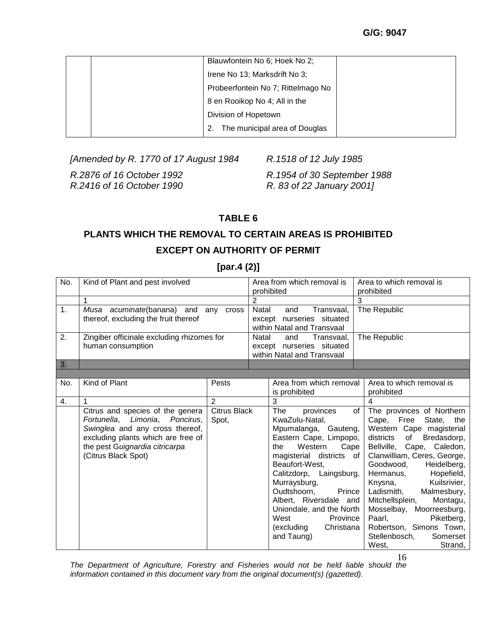| Blauwfontein No 6; Hoek No 2;       |  |
|-------------------------------------|--|
| Irene No 13; Marksdrift No 3;       |  |
| Probeerfontein No 7; Rittelmago No  |  |
| 8 en Rooikop No 4; All in the       |  |
| Division of Hopetown                |  |
| The municipal area of Douglas<br>2. |  |

*[Amended by R. 1770 of 17 August 1984 R.1518 of 12 July 1985*

*R.2416 of 16 October 1990 R. 83 of 22 January 2001]*

*R.2876 of 16 October 1992 R.1954 of 30 September 1988*

# **TABLE 6**

# **PLANTS WHICH THE REMOVAL TO CERTAIN AREAS IS PROHIBITED EXCEPT ON AUTHORITY OF PERMIT**

**[par.4 (2)]**

| No.            | Kind of Plant and pest involved                                                                                                                                                                      |                                            | Area from which removal is<br>prohibited |                                                                                                                                                                                                                                                                                                                                                      | Area to which removal is<br>prohibited                                                                                                                                                                                                                                                                                                                                                                                                                              |
|----------------|------------------------------------------------------------------------------------------------------------------------------------------------------------------------------------------------------|--------------------------------------------|------------------------------------------|------------------------------------------------------------------------------------------------------------------------------------------------------------------------------------------------------------------------------------------------------------------------------------------------------------------------------------------------------|---------------------------------------------------------------------------------------------------------------------------------------------------------------------------------------------------------------------------------------------------------------------------------------------------------------------------------------------------------------------------------------------------------------------------------------------------------------------|
|                | 1                                                                                                                                                                                                    |                                            |                                          |                                                                                                                                                                                                                                                                                                                                                      | 3                                                                                                                                                                                                                                                                                                                                                                                                                                                                   |
| 1 <sub>1</sub> | Musa acuminate(banana) and any cross<br>thereof, excluding the fruit thereof                                                                                                                         |                                            |                                          | Natal<br>Transvaal,<br>and<br>except nurseries situated<br>within Natal and Transvaal                                                                                                                                                                                                                                                                | The Republic                                                                                                                                                                                                                                                                                                                                                                                                                                                        |
| 2.             | human consumption                                                                                                                                                                                    | Zingiber officinale excluding rhizomes for |                                          | Natal<br>Transvaal,<br>and<br>except nurseries situated<br>within Natal and Transvaal                                                                                                                                                                                                                                                                | The Republic                                                                                                                                                                                                                                                                                                                                                                                                                                                        |
| 3.             |                                                                                                                                                                                                      |                                            |                                          |                                                                                                                                                                                                                                                                                                                                                      |                                                                                                                                                                                                                                                                                                                                                                                                                                                                     |
|                |                                                                                                                                                                                                      |                                            |                                          |                                                                                                                                                                                                                                                                                                                                                      |                                                                                                                                                                                                                                                                                                                                                                                                                                                                     |
| No.            | Kind of Plant                                                                                                                                                                                        | Pests                                      |                                          | Area from which removal<br>is prohibited                                                                                                                                                                                                                                                                                                             | Area to which removal is<br>prohibited                                                                                                                                                                                                                                                                                                                                                                                                                              |
| 4.             | 1                                                                                                                                                                                                    | $\overline{2}$                             |                                          | 3                                                                                                                                                                                                                                                                                                                                                    | 4                                                                                                                                                                                                                                                                                                                                                                                                                                                                   |
|                | Citrus and species of the genera<br>Fortunella, Limonia, Poncirus,<br>Swinglea and any cross thereof,<br>excluding plants which are free of<br>the pest Guignardia citricarpa<br>(Citrus Black Spot) | Citrus Black<br>Spot,                      |                                          | The<br>provinces<br>KwaZulu-Natal,<br>Mpumalanga, Gauteng,<br>Eastern Cape, Limpopo,<br>Western<br>Cape<br>the<br>magisterial districts of<br>Beaufort-West,<br>Calitzdorp, Laingsburg,<br>Murraysburg,<br>Oudtshoorn,<br>Prince<br>Albert, Riversdale and<br>Uniondale, and the North<br>West<br>Province<br>Christiana<br>(excluding<br>and Taung) | of<br>The provinces of Northern<br>Cape, Free<br>State, the<br>Western Cape magisterial<br>districts<br>of<br>Bredasdorp,<br>Bellville, Cape, Caledon,<br>Clanwilliam, Ceres, George,<br>Goodwood,<br>Heidelberg,<br>Hopefield,<br>Hermanus,<br>Kuilsrivier,<br>Knysna,<br>Ladismith,<br>Malmesbury,<br>Mitchellsplein,<br>Montagu,<br>Mosselbay, Moorreesburg,<br>Paarl,<br>Piketberg,<br>Robertson, Simons Town,<br>Stellenbosch,<br>Somerset<br>West,<br>Strand, |

16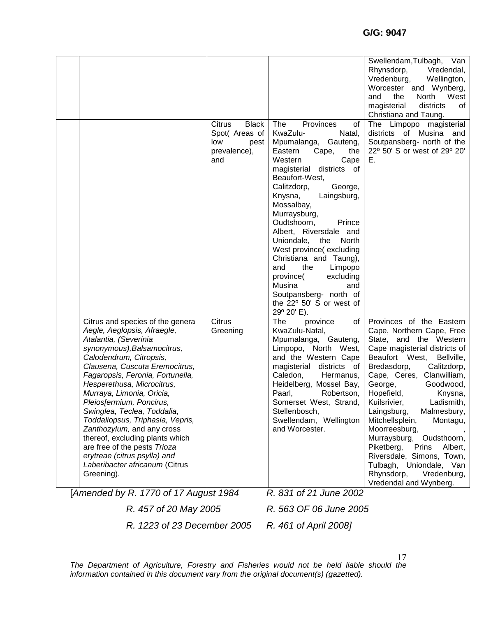|                                                                                                                                                                                                                                                                                                                                                                                                                                                                                                                                                                                                               |                                                                                |                                                                                                                                                                                                                                                                                                                                                                                                                                                                                                                                      | Swellendam, Tulbagh, Van<br>Rhynsdorp,<br>Vredendal,<br>Vredenburg,<br>Wellington,<br>Worcester and Wynberg,<br>and<br>the<br>North<br>West<br>districts<br>magisterial<br>of                                                                                                                                                                                                                                                                                                                                                                            |
|---------------------------------------------------------------------------------------------------------------------------------------------------------------------------------------------------------------------------------------------------------------------------------------------------------------------------------------------------------------------------------------------------------------------------------------------------------------------------------------------------------------------------------------------------------------------------------------------------------------|--------------------------------------------------------------------------------|--------------------------------------------------------------------------------------------------------------------------------------------------------------------------------------------------------------------------------------------------------------------------------------------------------------------------------------------------------------------------------------------------------------------------------------------------------------------------------------------------------------------------------------|----------------------------------------------------------------------------------------------------------------------------------------------------------------------------------------------------------------------------------------------------------------------------------------------------------------------------------------------------------------------------------------------------------------------------------------------------------------------------------------------------------------------------------------------------------|
|                                                                                                                                                                                                                                                                                                                                                                                                                                                                                                                                                                                                               | Citrus<br><b>Black</b><br>Spot( Areas of<br>low<br>pest<br>prevalence),<br>and | The<br>Provinces<br>οf<br>KwaZulu-<br>Natal,<br>Mpumalanga, Gauteng,<br>Eastern<br>Cape,<br>the<br>Western<br>Cape<br>districts of<br>magisterial<br>Beaufort-West,<br>Calitzdorp,<br>George,<br>Knysna,<br>Laingsburg,<br>Mossalbay,<br>Murraysburg,<br>Oudtshoorn,<br>Prince<br>Albert, Riversdale and<br>Uniondale,<br>the<br>North<br>West province(excluding<br>Christiana and Taung),<br>and<br>the<br>Limpopo<br>province(<br>excluding<br>Musina<br>and<br>Soutpansberg- north of<br>the 22° 50' S or west of<br>29° 20' E). | Christiana and Taung.<br>The Limpopo magisterial<br>districts of Musina and<br>Soutpansberg- north of the<br>22° 50' S or west of 29° 20'<br>Е.                                                                                                                                                                                                                                                                                                                                                                                                          |
| Citrus and species of the genera<br>Aegle, Aeglopsis, Afraegle,<br>Atalantia, (Severinia<br>synonymous), Balsamocitrus,<br>Calodendrum, Citropsis,<br>Clausena, Cuscuta Eremocitrus,<br>Fagaropsis, Feronia, Fortunella,<br>Hesperethusa, Microcitrus,<br>Murraya, Limonia, Oricia,<br>Pleiosfermium, Poncirus,<br>Swinglea, Teclea, Toddalia,<br>Toddaliopsus, Triphasia, Vepris,<br>Zanthozylum, and any cross<br>thereof, excluding plants which<br>are free of the pests Trioza<br>erytreae (citrus psylla) and<br>Laberibacter africanum (Citrus<br>Greening).<br>[Amended by R. 1770 of 17 August 1984] | <b>Citrus</b><br>Greening                                                      | of<br>The<br>province<br>KwaZulu-Natal,<br>Mpumalanga, Gauteng,<br>Limpopo, North West,<br>and the Western Cape<br>magisterial districts of<br>Caledon,<br>Hermanus,<br>Heidelberg, Mossel Bay,<br>Paarl,<br>Robertson,<br>Somerset West, Strand,  <br>Stellenbosch,<br>Swellendam, Wellington<br>and Worcester.<br>R. 831 of 21 June 2002                                                                                                                                                                                           | Provinces of the Eastern<br>Cape, Northern Cape, Free<br>State, and the Western<br>Cape magisterial districts of<br>Beaufort West,<br>Bellville,<br>Bredasdorp,<br>Calitzdorp,<br>Cape, Ceres, Clanwilliam,<br>George,<br>Goodwood,<br>Hopefield,<br>Knysna,<br>Kuilsrivier,<br>Ladismith,<br>Laingsburg,<br>Malmesbury,<br>Mitchellsplein,<br>Montagu,<br>Moorreesburg,<br>Murraysburg,<br>Oudsthoorn,<br>Piketberg,<br>Prins<br>Albert,<br>Riversdale, Simons, Town,<br>Tulbagh, Uniondale, Van<br>Rhynsdorp,<br>Vredenburg,<br>Vredendal and Wynberg. |

*R. 457 of 20 May 2005 R. 563 OF 06 June 2005*

*R. 1223 of 23 December 2005 R. 461 of April 2008]*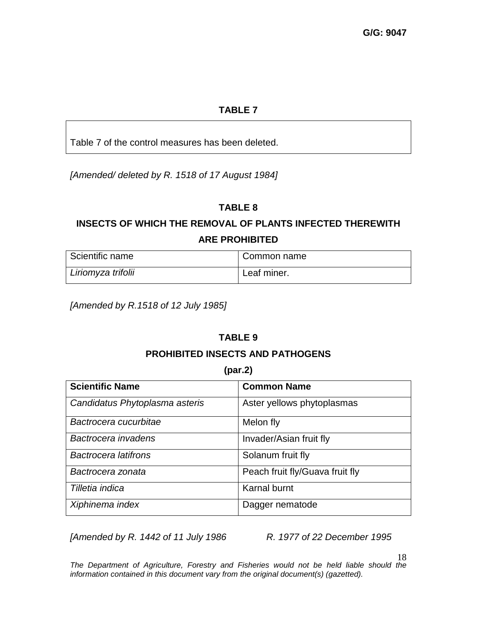# **TABLE 7**

Table 7 of the control measures has been deleted.

*[Amended/ deleted by R. 1518 of 17 August 1984]*

# **TABLE 8**

# **INSECTS OF WHICH THE REMOVAL OF PLANTS INFECTED THEREWITH ARE PROHIBITED**

| Scientific name    | Common name |
|--------------------|-------------|
| Liriomyza trifolii | Leaf miner. |

*[Amended by R.1518 of 12 July 1985]*

# **TABLE 9**

### **PROHIBITED INSECTS AND PATHOGENS**

#### **(par.2)**

| <b>Scientific Name</b>         | <b>Common Name</b>              |  |
|--------------------------------|---------------------------------|--|
| Candidatus Phytoplasma asteris | Aster yellows phytoplasmas      |  |
| Bactrocera cucurbitae          | Melon fly                       |  |
| Bactrocera invadens            | Invader/Asian fruit fly         |  |
| <b>Bactrocera latifrons</b>    | Solanum fruit fly               |  |
| Bactrocera zonata              | Peach fruit fly/Guava fruit fly |  |
| Tilletia indica                | <b>Karnal burnt</b>             |  |
| Xiphinema index                | Dagger nematode                 |  |

*[Amended by R. 1442 of 11 July 1986 R. 1977 of 22 December 1995*

18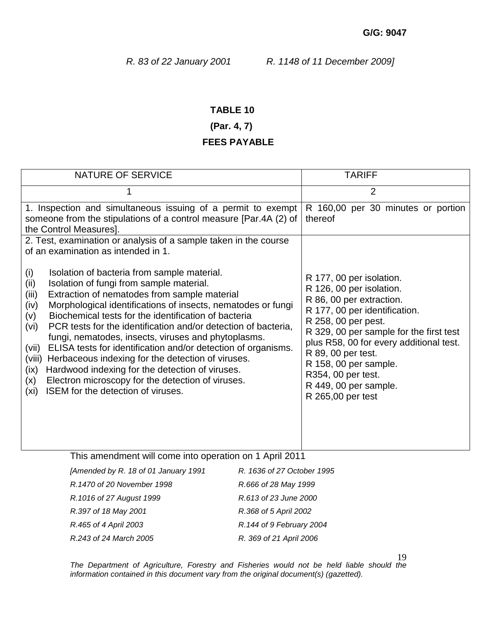## **TABLE 10**

# **(Par. 4, 7)**

## **FEES PAYABLE**

| <b>NATURE OF SERVICE</b>                                                                                                                                                                                                                                                                                                                                                                                                                                                                                                                                                                                                                                                                                                                              |                            | <b>TARIFF</b>                                                                                                                                                                                                                                                                                                                                     |  |  |
|-------------------------------------------------------------------------------------------------------------------------------------------------------------------------------------------------------------------------------------------------------------------------------------------------------------------------------------------------------------------------------------------------------------------------------------------------------------------------------------------------------------------------------------------------------------------------------------------------------------------------------------------------------------------------------------------------------------------------------------------------------|----------------------------|---------------------------------------------------------------------------------------------------------------------------------------------------------------------------------------------------------------------------------------------------------------------------------------------------------------------------------------------------|--|--|
| 1                                                                                                                                                                                                                                                                                                                                                                                                                                                                                                                                                                                                                                                                                                                                                     |                            | $\overline{2}$                                                                                                                                                                                                                                                                                                                                    |  |  |
| 1. Inspection and simultaneous issuing of a permit to exempt<br>someone from the stipulations of a control measure [Par.4A (2) of<br>the Control Measures].                                                                                                                                                                                                                                                                                                                                                                                                                                                                                                                                                                                           |                            | R 160,00 per 30 minutes or portion<br>thereof                                                                                                                                                                                                                                                                                                     |  |  |
| 2. Test, examination or analysis of a sample taken in the course<br>of an examination as intended in 1.                                                                                                                                                                                                                                                                                                                                                                                                                                                                                                                                                                                                                                               |                            |                                                                                                                                                                                                                                                                                                                                                   |  |  |
| (i)<br>Isolation of bacteria from sample material.<br>Isolation of fungi from sample material.<br>(ii)<br>Extraction of nematodes from sample material<br>(iii)<br>Morphological identifications of insects, nematodes or fungi<br>(iv)<br>Biochemical tests for the identification of bacteria<br>(v)<br>PCR tests for the identification and/or detection of bacteria,<br>(vi)<br>fungi, nematodes, insects, viruses and phytoplasms.<br>ELISA tests for identification and/or detection of organisms.<br>(vii)<br>Herbaceous indexing for the detection of viruses.<br>(viii)<br>Hardwood indexing for the detection of viruses.<br>(ix)<br>Electron microscopy for the detection of viruses.<br>(x)<br>ISEM for the detection of viruses.<br>(xi) |                            | R 177, 00 per isolation.<br>R 126, 00 per isolation.<br>R 86, 00 per extraction.<br>R 177, 00 per identification.<br>R 258, 00 per pest.<br>R 329, 00 per sample for the first test<br>plus R58, 00 for every additional test.<br>R 89, 00 per test.<br>R 158, 00 per sample.<br>R354, 00 per test.<br>R 449, 00 per sample.<br>R 265,00 per test |  |  |
| This amendment will come into operation on 1 April 2011                                                                                                                                                                                                                                                                                                                                                                                                                                                                                                                                                                                                                                                                                               |                            |                                                                                                                                                                                                                                                                                                                                                   |  |  |
| [Amended by R. 18 of 01 January 1991                                                                                                                                                                                                                                                                                                                                                                                                                                                                                                                                                                                                                                                                                                                  | R. 1636 of 27 October 1995 |                                                                                                                                                                                                                                                                                                                                                   |  |  |
| R.1470 of 20 November 1998                                                                                                                                                                                                                                                                                                                                                                                                                                                                                                                                                                                                                                                                                                                            | R.666 of 28 May 1999       |                                                                                                                                                                                                                                                                                                                                                   |  |  |
| R.1016 of 27 August 1999                                                                                                                                                                                                                                                                                                                                                                                                                                                                                                                                                                                                                                                                                                                              | R.613 of 23 June 2000      |                                                                                                                                                                                                                                                                                                                                                   |  |  |
| R.397 of 18 May 2001                                                                                                                                                                                                                                                                                                                                                                                                                                                                                                                                                                                                                                                                                                                                  | R.368 of 5 April 2002      |                                                                                                                                                                                                                                                                                                                                                   |  |  |
| R.465 of 4 April 2003                                                                                                                                                                                                                                                                                                                                                                                                                                                                                                                                                                                                                                                                                                                                 | R.144 of 9 February 2004   |                                                                                                                                                                                                                                                                                                                                                   |  |  |

19

*The Department of Agriculture, Forestry and Fisheries would not be held liable should the information contained in this document vary from the original document(s) (gazetted).*

*R.243 of 24 March 2005 R. 369 of 21 April 2006*